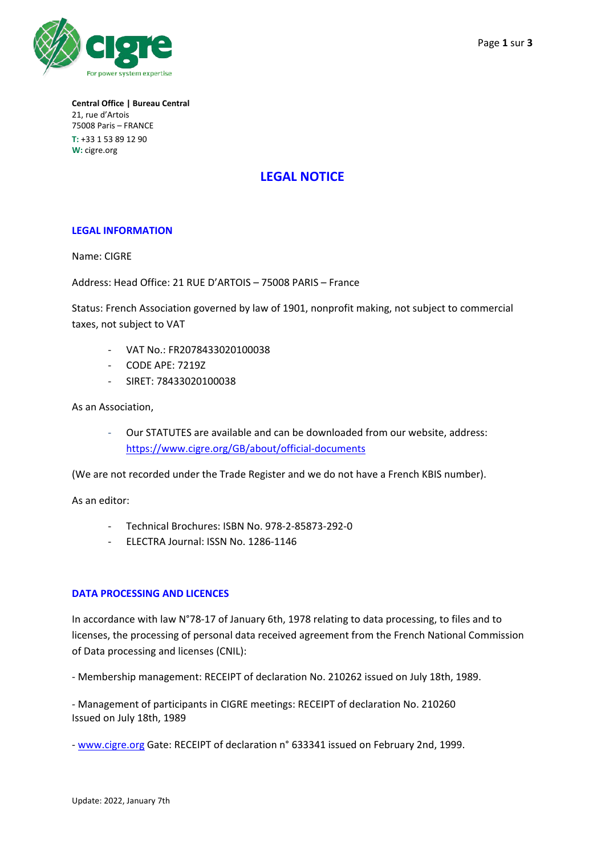

**Central Office | Bureau Central** 21, rue d'Artois 75008 Paris – FRANCE **T:** +33 1 53 89 12 90 **W:** cigre.org

# **LEGAL NOTICE**

# **LEGAL INFORMATION**

Name: CIGRE

Address: Head Office: 21 RUE D'ARTOIS – 75008 PARIS – France

Status: French Association governed by law of 1901, nonprofit making, not subject to commercial taxes, not subject to VAT

- VAT No.: FR2078433020100038
- CODE APE: 7219Z
- SIRET: 78433020100038

As an Association,

Our STATUTES are available and can be downloaded from our website, address: <https://www.cigre.org/GB/about/official-documents>

(We are not recorded under the Trade Register and we do not have a French KBIS number).

As an editor:

- Technical Brochures: ISBN No. 978-2-85873-292-0
- ELECTRA Journal: ISSN No. 1286-1146

# **DATA PROCESSING AND LICENCES**

In accordance with law N°78-17 of January 6th, 1978 relating to data processing, to files and to licenses, the processing of personal data received agreement from the French National Commission of Data processing and licenses (CNIL):

- Membership management: RECEIPT of declaration No. 210262 issued on July 18th, 1989.

- Management of participants in CIGRE meetings: RECEIPT of declaration No. 210260 Issued on July 18th, 1989

- [www.cigre.org](http://www.cigre.org/) Gate: RECEIPT of declaration n° 633341 issued on February 2nd, 1999.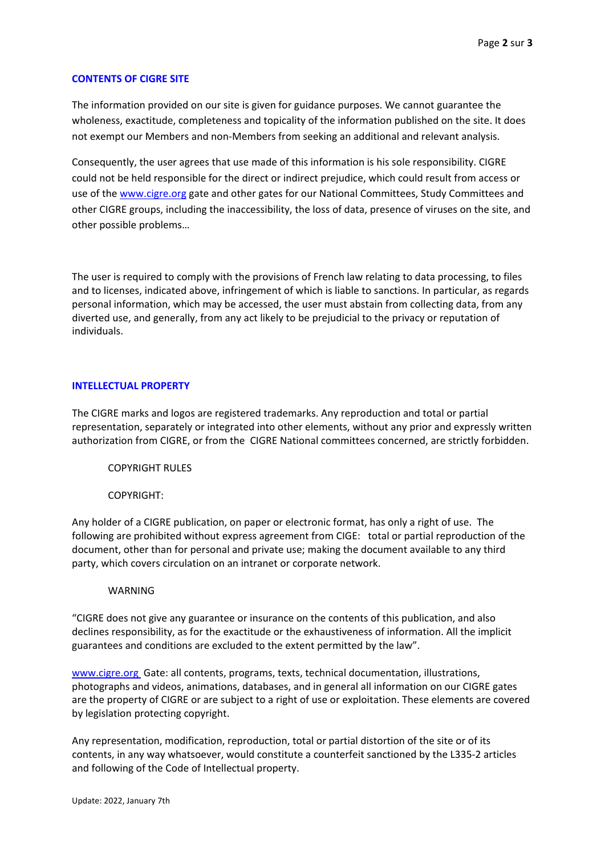# **CONTENTS OF CIGRE SITE**

The information provided on our site is given for guidance purposes. We cannot guarantee the wholeness, exactitude, completeness and topicality of the information published on the site. It does not exempt our Members and non-Members from seeking an additional and relevant analysis.

Consequently, the user agrees that use made of this information is his sole responsibility. CIGRE could not be held responsible for the direct or indirect prejudice, which could result from access or use of the [www.cigre.org](http://www.cigre.org/) gate and other gates for our National Committees, Study Committees and other CIGRE groups, including the inaccessibility, the loss of data, presence of viruses on the site, and other possible problems…

The user is required to comply with the provisions of French law relating to data processing, to files and to licenses, indicated above, infringement of which is liable to sanctions. In particular, as regards personal information, which may be accessed, the user must abstain from collecting data, from any diverted use, and generally, from any act likely to be prejudicial to the privacy or reputation of individuals.

#### **INTELLECTUAL PROPERTY**

The CIGRE marks and logos are registered trademarks. Any reproduction and total or partial representation, separately or integrated into other elements, without any prior and expressly written authorization from CIGRE, or from the CIGRE National committees concerned, are strictly forbidden.

COPYRIGHT RULES

COPYRIGHT:

Any holder of a CIGRE publication, on paper or electronic format, has only a right of use. The following are prohibited without express agreement from CIGE: total or partial reproduction of the document, other than for personal and private use; making the document available to any third party, which covers circulation on an intranet or corporate network.

#### WARNING

"CIGRE does not give any guarantee or insurance on the contents of this publication, and also declines responsibility, as for the exactitude or the exhaustiveness of information. All the implicit guarantees and conditions are excluded to the extent permitted by the law".

[www.cigre.org](http://www.cigre.org/) Gate: all contents, programs, texts, technical documentation, illustrations, photographs and videos, animations, databases, and in general all information on our CIGRE gates are the property of CIGRE or are subject to a right of use or exploitation. These elements are covered by legislation protecting copyright.

Any representation, modification, reproduction, total or partial distortion of the site or of its contents, in any way whatsoever, would constitute a counterfeit sanctioned by the L335-2 articles and following of the Code of Intellectual property.